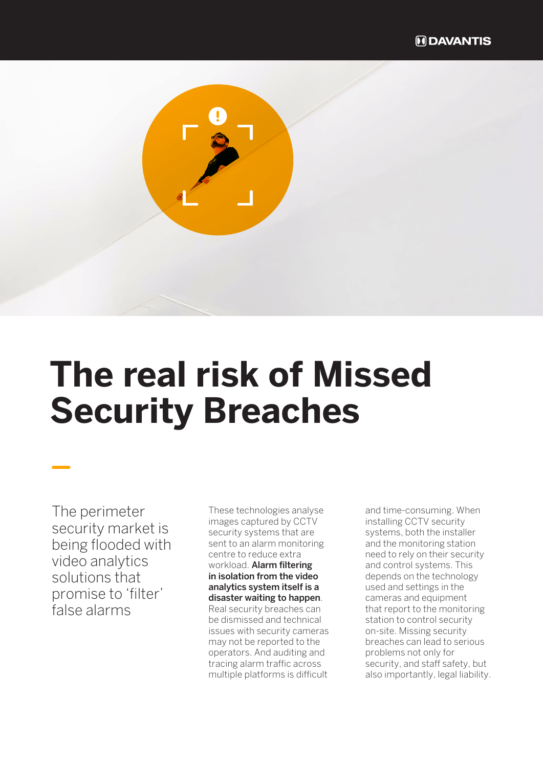

The perimeter security market is being flooded with video analytics solutions that promise to 'filter' false alarms

These technologies analyse images captured by CCTV security systems that are sent to an alarm monitoring centre to reduce extra workload. Alarm filtering in isolation from the video analytics system itself is a disaster waiting to happen. Real security breaches can be dismissed and technical issues with security cameras may not be reported to the operators. And auditing and tracing alarm traffic across multiple platforms is difficult

and time-consuming. When installing CCTV security systems, both the installer and the monitoring station need to rely on their security and control systems. This depends on the technology used and settings in the cameras and equipment that report to the monitoring station to control security on-site. Missing security breaches can lead to serious problems not only for security, and staff safety, but also importantly, legal liability.